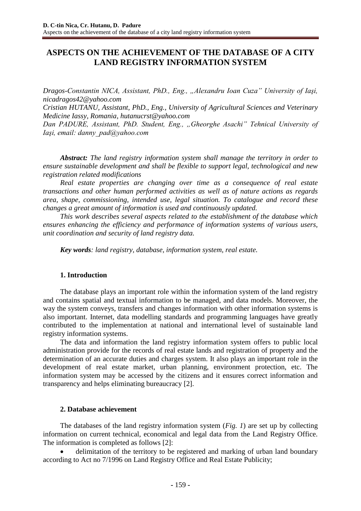# **ASPECTS ON THE ACHIEVEMENT OF THE DATABASE OF A CITY LAND REGISTRY INFORMATION SYSTEM**

*Dragos-Constantin NICA, Assistant, PhD., Eng., "Alexandru Ioan Cuza" University of Iaşi, nicadragos42@yahoo.com*

*Cristian HUTANU, Assistant, PhD., Eng., University of Agricultural Sciences and Veterinary Medicine Iassy, Romania, hutanucrst@yahoo.com*

*Dan PADURE, Assistant, PhD. Student, Eng., "Gheorghe Asachi" Tehnical University of Iaşi, email: danny\_pad@yahoo.com*

*Abstract: The land registry information system shall manage the territory in order to ensure sustainable development and shall be flexible to support legal, technological and new registration related modifications*

*Real estate properties are changing over time as a consequence of real estate transactions and other human performed activities as well as of nature actions as regards area, shape, commissioning, intended use, legal situation. To catalogue and record these changes a great amount of information is used and continuously updated.* 

*This work describes several aspects related to the establishment of the database which ensures enhancing the efficiency and performance of information systems of various users, unit coordination and security of land registry data.* 

*Key words: land registry, database, information system, real estate.*

### **1. Introduction**

The database plays an important role within the information system of the land registry and contains spatial and textual information to be managed, and data models. Moreover, the way the system conveys, transfers and changes information with other information systems is also important. Internet, data modelling standards and programming languages have greatly contributed to the implementation at national and international level of sustainable land registry information systems.

The data and information the land registry information system offers to public local administration provide for the records of real estate lands and registration of property and the determination of an accurate duties and charges system. It also plays an important role in the development of real estate market, urban planning, environment protection, etc. The information system may be accessed by the citizens and it ensures correct information and transparency and helps eliminating bureaucracy [2].

### **2. Database achievement**

The databases of the land registry information system (*Fig. 1*) are set up by collecting information on current technical, economical and legal data from the Land Registry Office. The information is completed as follows [2]:

 delimitation of the territory to be registered and marking of urban land boundary according to Act no 7/1996 on Land Registry Office and Real Estate Publicity;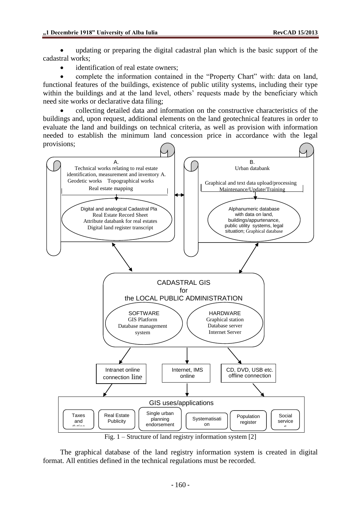updating or preparing the digital cadastral plan which is the basic support of the cadastral works;

identification of real estate owners;

 complete the information contained in the "Property Chart" with: data on land, functional features of the buildings, existence of public utility systems, including their type within the buildings and at the land level, others' requests made by the beneficiary which need site works or declarative data filing;

 collecting detailed data and information on the constructive characteristics of the buildings and, upon request, additional elements on the land geotechnical features in order to evaluate the land and buildings on technical criteria, as well as provision with information needed to establish the minimum land concession price in accordance with the legal provisions;



Fig. 1 – Structure of land registry information system [2]

The graphical database of the land registry information system is created in digital format. All entities defined in the technical regulations must be recorded.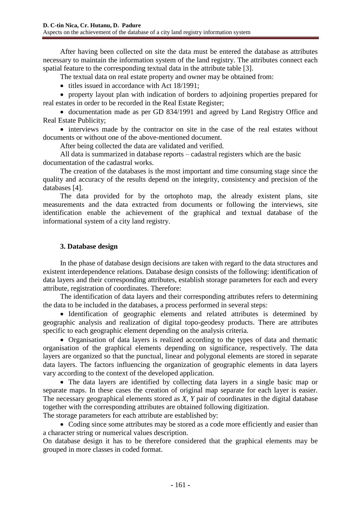After having been collected on site the data must be entered the database as attributes necessary to maintain the information system of the land registry. The attributes connect each spatial feature to the corresponding textual data in the attribute table [3].

The textual data on real estate property and owner may be obtained from:

• titles issued in accordance with Act 18/1991;

 property layout plan with indication of borders to adjoining properties prepared for real estates in order to be recorded in the Real Estate Register;

 documentation made as per GD 834/1991 and agreed by Land Registry Office and Real Estate Publicity;

• interviews made by the contractor on site in the case of the real estates without documents or without one of the above-mentioned document.

After being collected the data are validated and verified.

All data is summarized in database reports – cadastral registers which are the basic documentation of the cadastral works.

The creation of the databases is the most important and time consuming stage since the quality and accuracy of the results depend on the integrity, consistency and precision of the databases [4].

The data provided for by the ortophoto map, the already existent plans, site measurements and the data extracted from documents or following the interviews, site identification enable the achievement of the graphical and textual database of the informational system of a city land registry.

## **3. Database design**

In the phase of database design decisions are taken with regard to the data structures and existent interdependence relations. Database design consists of the following: identification of data layers and their corresponding attributes, establish storage parameters for each and every attribute, registration of coordinates. Therefore:

The identification of data layers and their corresponding attributes refers to determining the data to be included in the databases, a process performed in several steps:

• Identification of geographic elements and related attributes is determined by geographic analysis and realization of digital topo-geodesy products. There are attributes specific to each geographic element depending on the analysis criteria.

 Organisation of data layers is realized according to the types of data and thematic organisation of the graphical elements depending on significance, respectively. The data layers are organized so that the punctual, linear and polygonal elements are stored in separate data layers. The factors influencing the organization of geographic elements in data layers vary according to the context of the developed application.

 The data layers are identified by collecting data layers in a single basic map or separate maps. In these cases the creation of original map separate for each layer is easier. The necessary geographical elements stored as *X, Y* pair of coordinates in the digital database together with the corresponding attributes are obtained following digitization.

The storage parameters for each attribute are established by:

• Coding since some attributes may be stored as a code more efficiently and easier than a character string or numerical values description.

On database design it has to be therefore considered that the graphical elements may be grouped in more classes in coded format.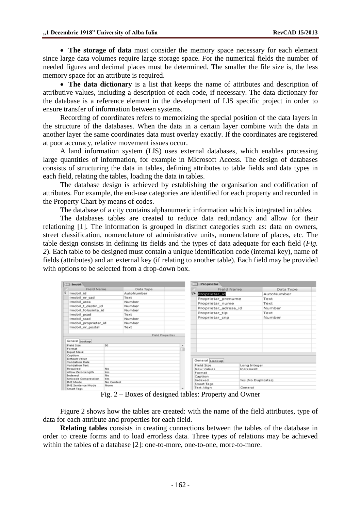**The storage of data** must consider the memory space necessary for each element since large data volumes require large storage space. For the numerical fields the number of needed figures and decimal places must be determined. The smaller the file size is, the less memory space for an attribute is required.

 **The data dictionary** is a list that keeps the name of attributes and description of attributive values, including a description of each code, if necessary. The data dictionary for the database is a reference element in the development of LIS specific project in order to ensure transfer of information between systems.

Recording of coordinates refers to memorizing the special position of the data layers in the structure of the databases. When the data in a certain layer combine with the data in another layer the same coordinates data must overlay exactly. If the coordinates are registered at poor accuracy, relative movement issues occur.

A land information system (LIS) uses external databases, which enables processing large quantities of information, for example in Microsoft Access. The design of databases consists of structuring the data in tables, defining attributes to table fields and data types in each field, relating the tables, loading the data in tables.

The database design is achieved by establishing the organisation and codification of attributes. For example, the end-use categories are identified for each property and recorded in the Property Chart by means of codes.

The database of a city contains alphanumeric information which is integrated in tables.

The databases tables are created to reduce data redundancy and allow for their relationing [1]. The information is grouped in distinct categories such as: data on owners, street classification, nomenclature of administrative units, nomenclature of places, etc. The table design consists in defining its fields and the types of data adequate for each field (*Fig. 2*). Each table to be designed must contain a unique identification code (internal key), name of fields (attributes) and an external key (if relating to another table). Each field may be provided with options to be selected from a drop-down box.

| Imobil                                                |      |                         |            | Proprietar              |              |                     |  |
|-------------------------------------------------------|------|-------------------------|------------|-------------------------|--------------|---------------------|--|
| Field Name                                            |      | Data Type               |            |                         | Field Name   | Data Type           |  |
| Imobil id                                             |      | AutoNumber              |            | <b>Proprietar_Id</b>    |              | AutoNumber          |  |
| Imobil nr cad                                         |      | Text                    |            | Proprietar_prenume      |              | Text                |  |
| Imobil area                                           |      | Number                  |            | Proprietar_nume         |              | Text                |  |
| Imobil t destin id                                    |      | Number                  |            |                         |              |                     |  |
| Imobil folosinte id                                   |      | Number                  |            | Proprietar adresa id    |              | Number              |  |
| Imobil pcad                                           |      | Text                    |            | Proprietar tip          |              | Text                |  |
| Imobil scad                                           |      | Number                  |            | Proprietar_cnp          |              | Number              |  |
| Imobil proprietar id                                  |      | Number                  |            |                         |              |                     |  |
| Imobil nr postal                                      |      | Text                    |            |                         |              |                     |  |
|                                                       |      |                         |            |                         |              |                     |  |
| General Lookup                                        |      | <b>Field Properties</b> |            |                         |              |                     |  |
| <b>Field Size</b>                                     | 50   |                         | ×.         |                         |              |                     |  |
| Format                                                |      |                         |            |                         |              |                     |  |
| <b>Input Mask</b>                                     |      |                         |            |                         |              |                     |  |
| Caption                                               |      |                         |            |                         |              |                     |  |
| Default Value                                         |      |                         |            | General Lookup          |              |                     |  |
| Validation Rule<br>Validation Text                    |      |                         |            | Field Size              | Long Integer |                     |  |
| Required                                              | No   |                         |            | New Values<br>Increment |              |                     |  |
| Allow Zero Length                                     | Yes. |                         |            | Format                  |              |                     |  |
| Indexed                                               | No   |                         |            | Caption                 |              |                     |  |
| Unicode Compression<br><b>Yes</b>                     |      |                         |            | Indexed                 |              | Yes (No Duplicates) |  |
| <b>IME Mode</b><br>No Control                         |      |                         |            | Smart Tags              |              |                     |  |
| <b>IME Sentence Mode</b><br>None<br><b>Smart Tags</b> |      |                         | Text Align | General                 |              |                     |  |

Fig. 2 – Boxes of designed tables: Property and Owner

Figure 2 shows how the tables are created: with the name of the field attributes, type of data for each attribute and properties for each field.

**Relating tables** consists in creating connections between the tables of the database in order to create forms and to load errorless data. Three types of relations may be achieved within the tables of a database [2]: one-to-more, one-to-one, more-to-more.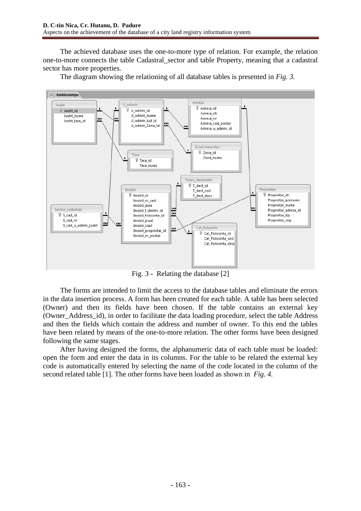The achieved database uses the one-to-more type of relation. For example, the relation one-to-more connects the table Cadastral\_sector and table Property, meaning that a cadastral sector has more properties.

The diagram showing the relationing of all database tables is presented in *Fig. 3.*



Fig. 3 - Relating the database [2]

The forms are intended to limit the access to the database tables and eliminate the errors in the data insertion process. A form has been created for each table. A table has been selected (Owner) and then its fields have been chosen. If the table contains an external key (Owner\_Address\_id), in order to facilitate the data loading procedure, select the table Address and then the fields which contain the address and number of owner. To this end the tables have been related by means of the one-to-more relation. The other forms have been designed following the same stages.

After having designed the forms, the alphanumeric data of each table must be loaded: open the form and enter the data in its columns. For the table to be related the external key code is automatically entered by selecting the name of the code located in the column of the second related table [1]. The other forms have been loaded as shown in *Fig. 4.*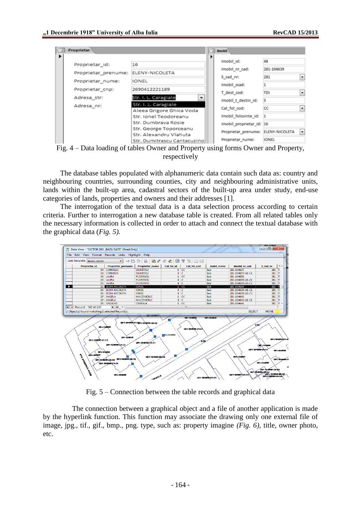

Fig. 4 – Data loading of tables Owner and Property using forms Owner and Property, respectively

The database tables populated with alphanumeric data contain such data as: country and neighbouring countries, surrounding counties, city and neighbouring administrative units, lands within the built-up area, cadastral sectors of the built-up area under study, end-use categories of lands, properties and owners and their addresses [1].

The interrogation of the textual data is a data selection process according to certain criteria. Further to interrogation a new database table is created. From all related tables only the necessary information is collected in order to attach and connect the textual database with the graphical data (*Fig. 5).*



Fig. 5 – Connection between the table records and graphical data

The connection between a graphical object and a file of another application is made by the hyperlink function. This function may associate the drawing only one external file of image, jpg., tif., gif., bmp., png. type, such as: property imagine *(Fig. 6)*, title, owner photo, etc.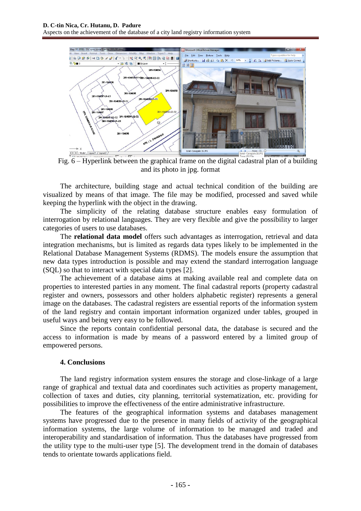Aspects on the achievement of the database of a city land registry information system



Fig. 6 – Hyperlink between the graphical frame on the digital cadastral plan of a building and its photo in jpg. format

The architecture, building stage and actual technical condition of the building are visualized by means of that image. The file may be modified, processed and saved while keeping the hyperlink with the object in the drawing.

The simplicity of the relating database structure enables easy formulation of interrogation by relational languages. They are very flexible and give the possibility to larger categories of users to use databases.

The **relational data model** offers such advantages as interrogation, retrieval and data integration mechanisms, but is limited as regards data types likely to be implemented in the Relational Database Management Systems (RDMS). The models ensure the assumption that new data types introduction is possible and may extend the standard interrogation language (SQL) so that to interact with special data types [2].

The achievement of a database aims at making available real and complete data on properties to interested parties in any moment. The final cadastral reports (property cadastral register and owners, possessors and other holders alphabetic register) represents a general image on the databases. The cadastral registers are essential reports of the information system of the land registry and contain important information organized under tables, grouped in useful ways and being very easy to be followed.

Since the reports contain confidential personal data, the database is secured and the access to information is made by means of a password entered by a limited group of empowered persons.

# **4. Conclusions**

The land registry information system ensures the storage and close-linkage of a large range of graphical and textual data and coordinates such activities as property management, collection of taxes and duties, city planning, territorial systematization, etc. providing for possibilities to improve the effectiveness of the entire administrative infrastructure.

The features of the geographical information systems and databases management systems have progressed due to the presence in many fields of activity of the geographical information systems, the large volume of information to be managed and traded and interoperability and standardisation of information. Thus the databases have progressed from the utility type to the multi-user type [5]. The development trend in the domain of databases tends to orientate towards applications field.